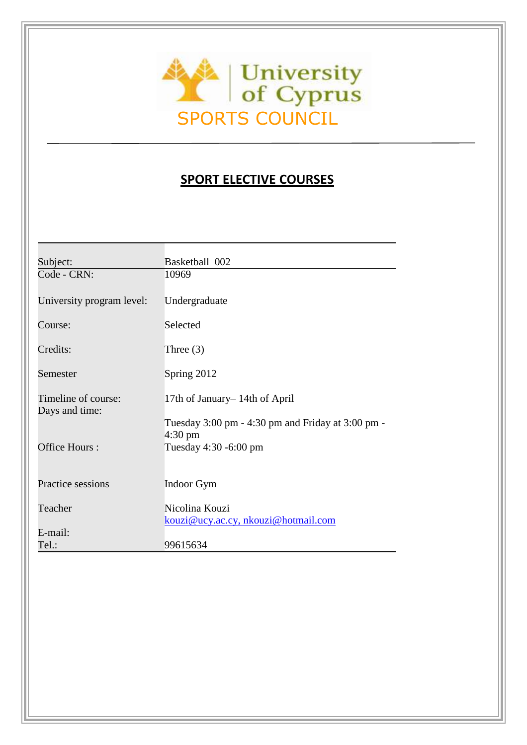

# **SPORT ELECTIVE COURSES**

| Subject:                              | Basketball 002                                                         |
|---------------------------------------|------------------------------------------------------------------------|
| Code - CRN:                           | 10969                                                                  |
| University program level:             | Undergraduate                                                          |
| Course:                               | Selected                                                               |
| Credits:                              | Three $(3)$                                                            |
| Semester                              | Spring 2012                                                            |
| Timeline of course:<br>Days and time: | 17th of January–14th of April                                          |
|                                       | Tuesday 3:00 pm - 4:30 pm and Friday at 3:00 pm -<br>$4:30 \text{ pm}$ |
| Office Hours:                         | Tuesday 4:30 -6:00 pm                                                  |
| Practice sessions                     | Indoor Gym                                                             |
| Teacher                               | Nicolina Kouzi                                                         |
| E-mail:                               | kouzi@ucy.ac.cy, nkouzi@hotmail.com                                    |
| Tel.:                                 | 99615634                                                               |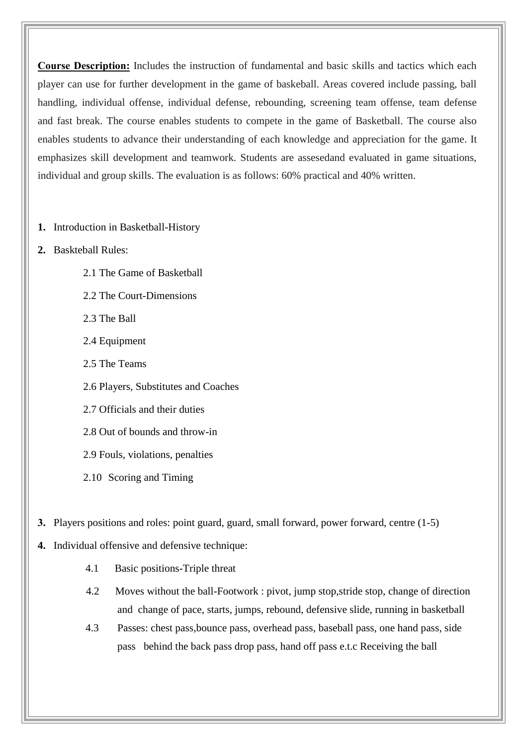**Course Description:** Includes the instruction of fundamental and basic skills and tactics which each player can use for further development in the game of baskeball. Areas covered include passing, ball handling, individual offense, individual defense, rebounding, screening team offense, team defense and fast break. The course enables students to compete in the game of Basketball. The course also enables students to advance their understanding of each knowledge and appreciation for the game. It emphasizes skill development and teamwork. Students are assesedand evaluated in game situations, individual and group skills. The evaluation is as follows: 60% practical and 40% written.

- **1.** Introduction in Basketball-History
- **2.** Baskteball Rules:
	- 2.1 The Game of Basketball
	- 2.2 The Court-Dimensions
	- 2.3 The Ball
	- 2.4 Equipment
	- 2.5 The Teams
	- 2.6 Players, Substitutes and Coaches
	- 2.7 Officials and their duties
	- 2.8 Out of bounds and throw-in
	- 2.9 Fouls, violations, penalties
	- 2.10 Scoring and Timing
- **3.** Players positions and roles: point guard, guard, small forward, power forward, centre (1-5)
- **4.** Individual offensive and defensive technique:
	- 4.1 Basic positions-Triple threat
	- 4.2 Moves without the ball-Footwork : pivot, jump stop,stride stop, change of direction and change of pace, starts, jumps, rebound, defensive slide, running in basketball
	- 4.3 Passes: chest pass,bounce pass, overhead pass, baseball pass, one hand pass, side pass behind the back pass drop pass, hand off pass e.t.c Receiving the ball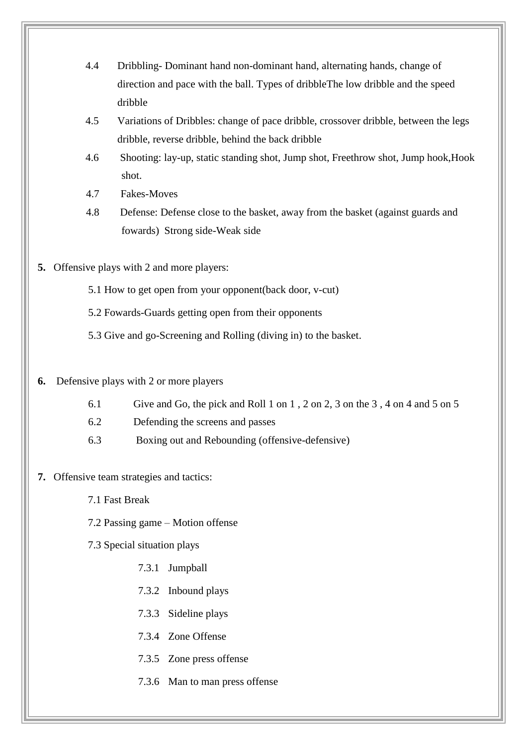- 4.4 Dribbling- Dominant hand non-dominant hand, alternating hands, change of direction and pace with the ball. Types of dribbleThe low dribble and the speed dribble
- 4.5 Variations of Dribbles: change of pace dribble, crossover dribble, between the legs dribble, reverse dribble, behind the back dribble
- 4.6 Shooting: lay-up, static standing shot, Jump shot, Freethrow shot, Jump hook,Hook shot.
- 4.7 Fakes-Moves
- 4.8 Defense: Defense close to the basket, away from the basket (against guards and fowards) Strong side-Weak side
- **5.** Offensive plays with 2 and more players:
	- 5.1 How to get open from your opponent(back door, v-cut)
	- 5.2 Fowards-Guards getting open from their opponents
	- 5.3 Give and go-Screening and Rolling (diving in) to the basket.

## **6.** Defensive plays with 2 or more players

- 6.1 Give and Go, the pick and Roll 1 on 1 , 2 on 2, 3 on the 3 , 4 on 4 and 5 on 5
- 6.2 Defending the screens and passes
- 6.3 Boxing out and Rebounding (offensive-defensive)

## **7.** Offensive team strategies and tactics:

- 7.1 Fast Break
- 7.2 Passing game Motion offense
- 7.3 Special situation plays
	- 7.3.1 Jumpball
	- 7.3.2 Inbound plays
	- 7.3.3 Sideline plays
	- 7.3.4 Zone Offense
	- 7.3.5 Zone press offense
	- 7.3.6 Man to man press offense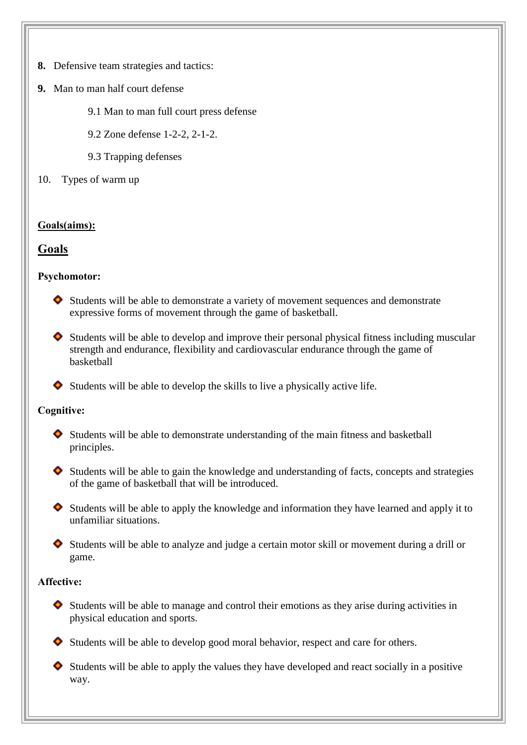- **8.** Defensive team strategies and tactics:
- **9.** Man to man half court defense
	- 9.1 Man to man full court press defense
	- 9.2 Zone defense 1-2-2, 2-1-2.
	- 9.3 Trapping defenses
- 10. Types of warm up

# **Goals(aims):**

# **Goals**

# **Psychomotor:**

- $\bullet$  Students will be able to demonstrate a variety of movement sequences and demonstrate expressive forms of movement through the game of basketball.
- Students will be able to develop and improve their personal physical fitness including muscular strength and endurance, flexibility and cardiovascular endurance through the game of basketball
- $\bullet$  Students will be able to develop the skills to live a physically active life.

# **Cognitive:**

- Students will be able to demonstrate understanding of the main fitness and basketball principles.
- $\bullet$  Students will be able to gain the knowledge and understanding of facts, concepts and strategies of the game of basketball that will be introduced.
- $\bullet$  Students will be able to apply the knowledge and information they have learned and apply it to unfamiliar situations.
- Students will be able to analyze and judge a certain motor skill or movement during a drill or game.

## **Affective:**

- $\bullet$  Students will be able to manage and control their emotions as they arise during activities in physical education and sports.
- Students will be able to develop good moral behavior, respect and care for others.
- $\bullet$  Students will be able to apply the values they have developed and react socially in a positive way.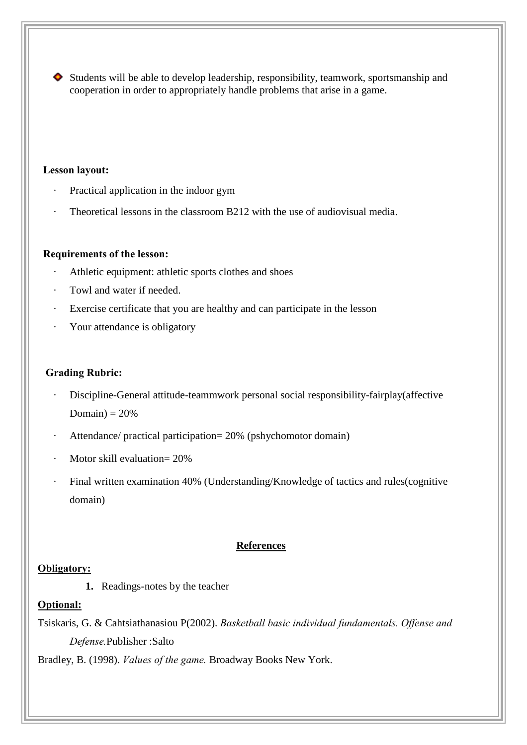Students will be able to develop leadership, responsibility, teamwork, sportsmanship and cooperation in order to appropriately handle problems that arise in a game.

## **Lesson layout:**

- Practical application in the indoor gym
- Theoretical lessons in the classroom B212 with the use of audiovisual media.

#### **Requirements of the lesson:**

- Athletic equipment: athletic sports clothes and shoes
- Towl and water if needed.
- Exercise certificate that you are healthy and can participate in the lesson
- Your attendance is obligatory

## **Grading Rubric:**

- Discipline-General attitude-teammwork personal social responsibility-fairplay(affective Domain)  $= 20%$
- Attendance/ practical participation= 20% (pshychomotor domain)
- Motor skill evaluation= 20%
- Final written examination 40% (Understanding/Knowledge of tactics and rules(cognitive domain)

#### **References**

#### **Obligatory:**

**1.** Readings-notes by the teacher

# **Optional:**

Tsiskaris, G. & Cahtsiathanasiou P(2002). *Basketball basic individual fundamentals. Offense and Defense.*Publisher :Salto

Bradley, B. (1998). *Values of the game.* Broadway Books New York.